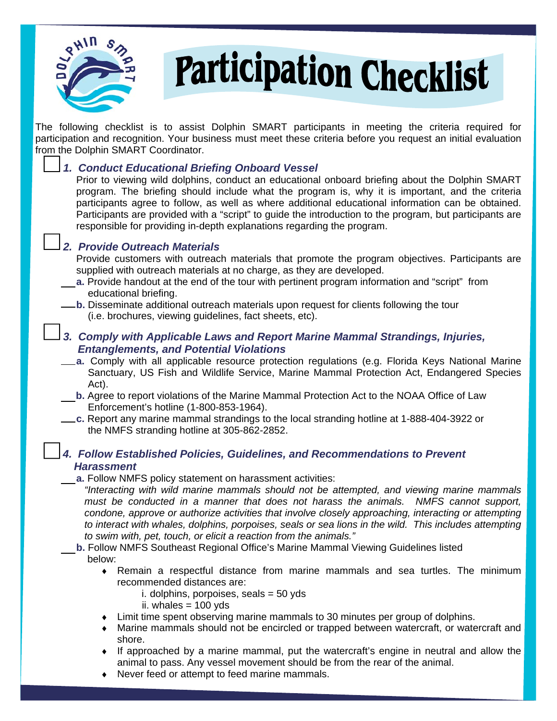

# **Participation Checklist**

The following checklist is to assist Dolphin SMART participants in meeting the criteria required for participation and recognition. Your business must meet these criteria before you request an initial evaluation from the Dolphin SMART Coordinator. 

## *1. Conduct Educational Briefing Onboard Vessel*

Prior to viewing wild dolphins, conduct an educational onboard briefing about the Dolphin SMART program. The briefing should include what the program is, why it is important, and the criteria participants agree to follow, as well as where additional educational information can be obtained. Participants are provided with a "script" to guide the introduction to the program, but participants are responsible for providing in-depth explanations regarding the program.

## *2.**Provide Outreach Materials*

Provide customers with outreach materials that promote the program objectives. Participants are supplied with outreach materials at no charge, as they are developed.

- **a.** Provide handout at the end of the tour with pertinent program information and "script" from educational briefing.
- **b.** Disseminate additional outreach materials upon request for clients following the tour (i.e. brochures, viewing guidelines, fact sheets, etc).

#### *3. Comply with Applicable Laws and Report Marine Mammal Strandings, Injuries, Entanglements, and Potential Violations*

- **a.** Comply with all applicable resource protection regulations (e.g. Florida Keys National Marine Sanctuary, US Fish and Wildlife Service, Marine Mammal Protection Act, Endangered Species Act).
- **b.** Agree to report violations of the Marine Mammal Protection Act to the NOAA Office of Law Enforcement's hotline (1-800-853-1964).
- **c.** Report any marine mammal strandings to the local stranding hotline at 1-888-404-3922 or the NMFS stranding hotline at 305-862-2852.

## *4. Follow Established Policies, Guidelines, and Recommendations to Prevent Harassment*

#### **a.** Follow NMFS policy statement on harassment activities:

*"Interacting with wild marine mammals should not be attempted, and viewing marine mammals must be conducted in a manner that does not harass the animals. NMFS cannot support, condone, approve or authorize activities that involve closely approaching, interacting or attempting to interact with whales, dolphins, porpoises, seals or sea lions in the wild. This includes attempting to swim with, pet, touch, or elicit a reaction from the animals."* 

- **b.** Follow NMFS Southeast Regional Office's Marine Mammal Viewing Guidelines listed below:
	- ♦ Remain a respectful distance from marine mammals and sea turtles. The minimum recommended distances are:
		- i. dolphins, porpoises, seals = 50 yds
		- ii. whales  $= 100$  yds
	- ♦ Limit time spent observing marine mammals to 30 minutes per group of dolphins.
	- Marine mammals should not be encircled or trapped between watercraft, or watercraft and shore.
	- If approached by a marine mammal, put the watercraft's engine in neutral and allow the animal to pass. Any vessel movement should be from the rear of the animal.
	- Never feed or attempt to feed marine mammals.